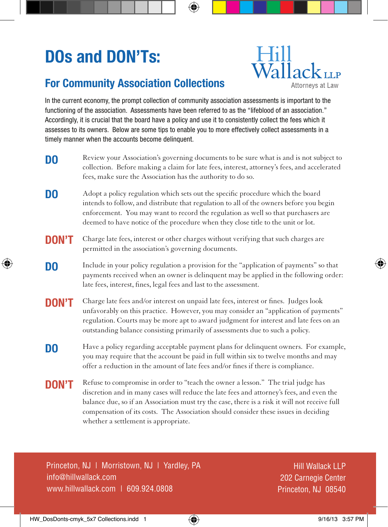# **DOs and DON'Ts:**

## **Hill**  $\widehat{\text{Wallack}}_{\text{LLP}}$ Attorneys at Law

### **For Community Association Collections**

In the current economy, the prompt collection of community association assessments is important to the functioning of the association. Assessments have been referred to as the "lifeblood of an association." Accordingly, it is crucial that the board have a policy and use it to consistently collect the fees which it assesses to its owners. Below are some tips to enable you to more effectively collect assessments in a timely manner when the accounts become delinquent.

- Review your Association's governing documents to be sure what is and is not subject to collection. Before making a claim for late fees, interest, attorney's fees, and accelerated fees, make sure the Association has the authority to do so. **DO**
- Adopt a policy regulation which sets out the specific procedure which the board intends to follow, and distribute that regulation to all of the owners before you begin enforcement. You may want to record the regulation as well so that purchasers are deemed to have notice of the procedure when they close title to the unit or lot. **DO**
- Charge late fees, interest or other charges without verifying that such charges are permitted in the association's governing documents. **DON'T**
- Include in your policy regulation a provision for the "application of payments" so that payments received when an owner is delinquent may be applied in the following order: late fees, interest, fines, legal fees and last to the assessment. **DO**
- Charge late fees and/or interest on unpaid late fees, interest or fines. Judges look unfavorably on this practice. However, you may consider an "application of payments" regulation. Courts may be more apt to award judgment for interest and late fees on an outstanding balance consisting primarily of assessments due to such a policy. **DON'T**
- Have a policy regarding acceptable payment plans for delinquent owners. For example, you may require that the account be paid in full within six to twelve months and may offer a reduction in the amount of late fees and/or fines if there is compliance. **DO**
- Refuse to compromise in order to "teach the owner a lesson." The trial judge has discretion and in many cases will reduce the late fees and attorney's fees, and even the balance due, so if an Association must try the case, there is a risk it will not receive full compensation of its costs. The Association should consider these issues in deciding whether a settlement is appropriate. **DON'T**

Princeton, NJ | Morristown, NJ | Yardley, PA info@hillwallack.com www.hillwallack.com | 609.924.0808

Hill Wallack LLP 202 Carnegie Center Princeton, NJ 08540